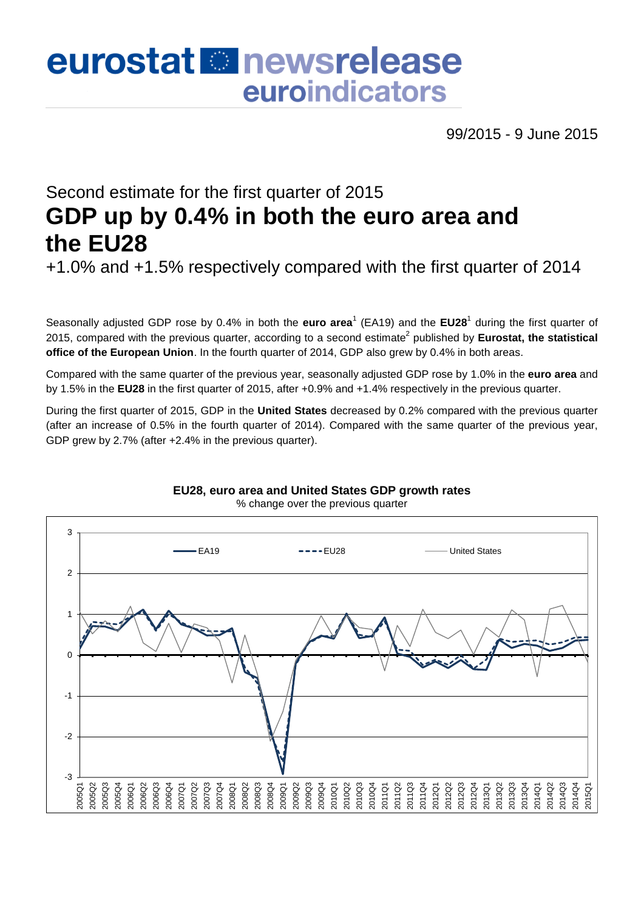# eurostat **E**newsrelease euroindicators

99/2015 - 9 June 2015

## Second estimate for the first quarter of 2015 **GDP up by 0.4% in both the euro area and the EU28**

+1.0% and +1.5% respectively compared with the first quarter of 2014

Seasonally adjusted GDP rose by 0.4% in both the **euro area<sup>1</sup> (EA19)** and the **EU28<sup>1</sup>** during the first quarter of 2015, compared with the previous quarter, according to a second estimate<sup>2</sup> published by **Eurostat, the statistical office of the European Union**. In the fourth quarter of 2014, GDP also grew by 0.4% in both areas.

Compared with the same quarter of the previous year, seasonally adjusted GDP rose by 1.0% in the **euro area** and by 1.5% in the **EU28** in the first quarter of 2015, after +0.9% and +1.4% respectively in the previous quarter.

During the first quarter of 2015, GDP in the **United States** decreased by 0.2% compared with the previous quarter (after an increase of 0.5% in the fourth quarter of 2014). Compared with the same quarter of the previous year, GDP grew by 2.7% (after +2.4% in the previous quarter).



**EU28, euro area and United States GDP growth rates** % change over the previous quarter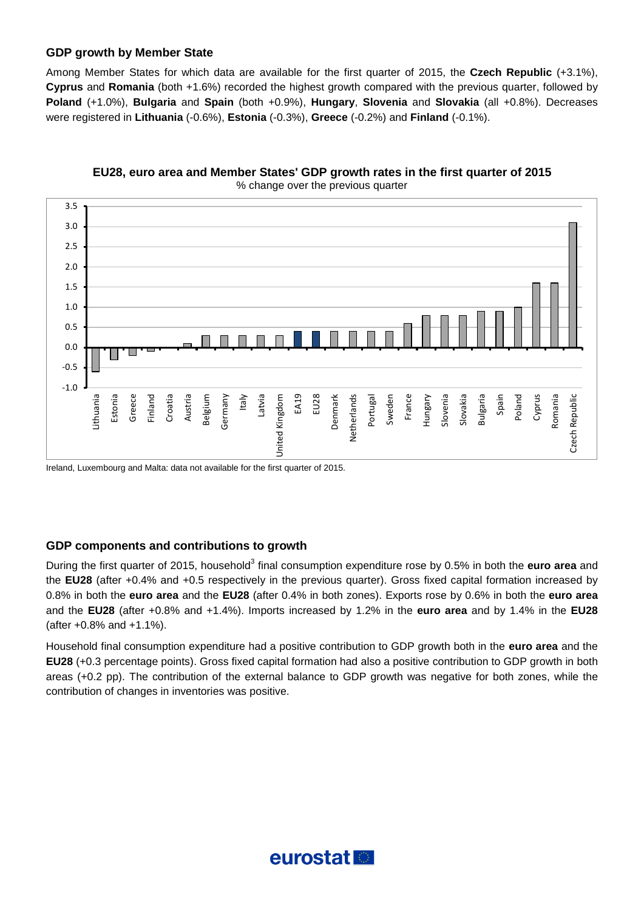#### **GDP growth by Member State**

Among Member States for which data are available for the first quarter of 2015, the **Czech Republic** (+3.1%), **Cyprus** and **Romania** (both +1.6%) recorded the highest growth compared with the previous quarter, followed by **Poland** (+1.0%), **Bulgaria** and **Spain** (both +0.9%), **Hungary**, **Slovenia** and **Slovakia** (all +0.8%). Decreases were registered in **Lithuania** (-0.6%), **Estonia** (-0.3%), **Greece** (-0.2%) and **Finland** (-0.1%).



**EU28, euro area and Member States' GDP growth rates in the first quarter of 2015** % change over the previous quarter

Ireland, Luxembourg and Malta: data not available for the first quarter of 2015.

#### **GDP components and contributions to growth**

During the first quarter of 2015, household<sup>3</sup> final consumption expenditure rose by 0.5% in both the **euro area** and the **EU28** (after +0.4% and +0.5 respectively in the previous quarter). Gross fixed capital formation increased by 0.8% in both the **euro area** and the **EU28** (after 0.4% in both zones). Exports rose by 0.6% in both the **euro area** and the **EU28** (after +0.8% and +1.4%). Imports increased by 1.2% in the **euro area** and by 1.4% in the **EU28** (after +0.8% and +1.1%).

Household final consumption expenditure had a positive contribution to GDP growth both in the **euro area** and the **EU28** (+0.3 percentage points). Gross fixed capital formation had also a positive contribution to GDP growth in both areas (+0.2 pp). The contribution of the external balance to GDP growth was negative for both zones, while the contribution of changes in inventories was positive.

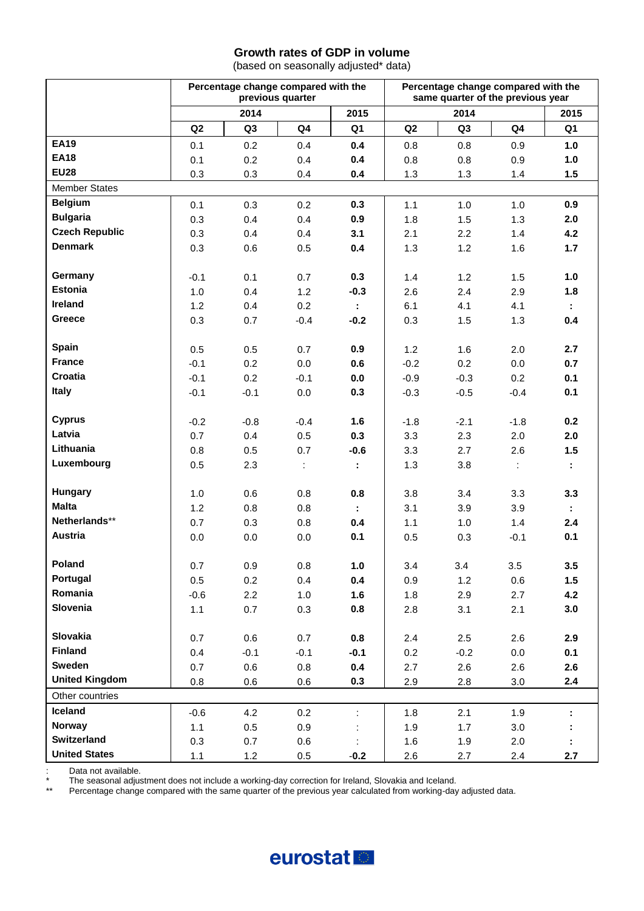#### **Growth rates of GDP in volume**

(based on seasonally adjusted\* data)

|                       |                | Percentage change compared with the | previous quarter |        | Percentage change compared with the<br>same quarter of the previous year |            |                      |                             |  |  |  |  |  |
|-----------------------|----------------|-------------------------------------|------------------|--------|--------------------------------------------------------------------------|------------|----------------------|-----------------------------|--|--|--|--|--|
|                       |                | 2014                                |                  | 2015   |                                                                          | 2014       |                      | 2015                        |  |  |  |  |  |
|                       | Q <sub>2</sub> | Q3                                  | Q4               | Q1     | Q <sub>2</sub>                                                           | Q3         | Q4                   | Q1                          |  |  |  |  |  |
| <b>EA19</b>           | 0.1            | 0.2                                 | 0.4              | 0.4    | 0.8                                                                      | 0.8        | 0.9                  | 1.0                         |  |  |  |  |  |
| <b>EA18</b>           | 0.1            | 0.2                                 | 0.4              | 0.4    | 0.8                                                                      | 0.8        | 0.9                  | 1.0                         |  |  |  |  |  |
| <b>EU28</b>           | 0.3            | 0.3                                 | 0.4              | 0.4    | 1.3                                                                      | 1.3        | 1.4                  | 1.5                         |  |  |  |  |  |
| <b>Member States</b>  |                |                                     |                  |        |                                                                          |            |                      |                             |  |  |  |  |  |
| <b>Belgium</b>        | 0.1            | 0.3                                 | 0.2              | 0.3    | 1.1                                                                      | 1.0        | 1.0                  | 0.9                         |  |  |  |  |  |
| <b>Bulgaria</b>       | 0.3            | 0.4                                 | 0.4              | 0.9    | 1.8                                                                      | 1.5        | 1.3                  | 2.0                         |  |  |  |  |  |
| <b>Czech Republic</b> | 0.3            | 0.4                                 | 0.4              | 3.1    | 2.1                                                                      | 2.2        | 1.4                  | 4.2                         |  |  |  |  |  |
| <b>Denmark</b>        | 0.3            | 0.6                                 | 0.5              | 0.4    | 1.3                                                                      | 1.2        | 1.6                  | 1.7                         |  |  |  |  |  |
|                       |                |                                     |                  |        |                                                                          |            |                      |                             |  |  |  |  |  |
| Germany               | $-0.1$         | 0.1                                 | 0.7              | 0.3    | 1.4                                                                      | 1.2        | 1.5                  | 1.0                         |  |  |  |  |  |
| <b>Estonia</b>        | 1.0            | 0.4                                 | 1.2              | $-0.3$ | 2.6                                                                      | 2.4        | 2.9                  | 1.8                         |  |  |  |  |  |
| Ireland               | 1.2            | 0.4                                 | 0.2              |        | 6.1                                                                      | 4.1        | 4.1                  |                             |  |  |  |  |  |
| Greece                | 0.3            | 0.7                                 | $-0.4$           | $-0.2$ | 0.3                                                                      | 1.5        | 1.3                  | 0.4                         |  |  |  |  |  |
|                       |                |                                     |                  |        |                                                                          |            |                      |                             |  |  |  |  |  |
| Spain                 | 0.5            | 0.5                                 | 0.7              | 0.9    | 1.2                                                                      | 1.6        | 2.0                  | 2.7                         |  |  |  |  |  |
| <b>France</b>         | $-0.1$         | 0.2                                 | 0.0              | 0.6    | $-0.2$                                                                   | 0.2        | 0.0                  | 0.7                         |  |  |  |  |  |
| Croatia               | $-0.1$         | 0.2                                 | $-0.1$           | 0.0    | $-0.9$                                                                   | $-0.3$     | 0.2                  | 0.1                         |  |  |  |  |  |
| Italy                 | $-0.1$         | $-0.1$                              | 0.0              | 0.3    | $-0.3$                                                                   | $-0.5$     | $-0.4$               | 0.1                         |  |  |  |  |  |
|                       |                |                                     |                  |        |                                                                          |            |                      |                             |  |  |  |  |  |
| <b>Cyprus</b>         | $-0.2$         | $-0.8$                              | $-0.4$           | 1.6    | $-1.8$                                                                   | $-2.1$     | $-1.8$               | 0.2                         |  |  |  |  |  |
| Latvia                | 0.7            | 0.4                                 | 0.5              | 0.3    | 3.3                                                                      | 2.3        | 2.0                  | 2.0                         |  |  |  |  |  |
| Lithuania             | 0.8            | 0.5                                 | 0.7              | $-0.6$ | 3.3                                                                      | 2.7        | 2.6                  | 1.5                         |  |  |  |  |  |
| Luxembourg            | 0.5            | 2.3                                 | $\mathbb{I}$     | ÷      | 1.3                                                                      | 3.8        | $\ddot{\phantom{a}}$ | $\mathbb{Z}^+$              |  |  |  |  |  |
|                       |                |                                     |                  |        |                                                                          |            |                      |                             |  |  |  |  |  |
| Hungary               | 1.0            | 0.6                                 | 0.8              | 0.8    | 3.8                                                                      | 3.4        | 3.3                  | 3.3                         |  |  |  |  |  |
| <b>Malta</b>          | 1.2            | 0.8                                 | 0.8              | ÷.     | 3.1                                                                      | 3.9        | 3.9                  | $\mathcal{L}_{\mathcal{A}}$ |  |  |  |  |  |
| Netherlands**         | 0.7            | 0.3                                 | 0.8              | 0.4    | 1.1                                                                      | 1.0        | 1.4                  | 2.4                         |  |  |  |  |  |
| Austria               | 0.0            | 0.0                                 | 0.0              | 0.1    | 0.5                                                                      | 0.3        | $-0.1$               | 0.1                         |  |  |  |  |  |
| Poland                |                |                                     |                  |        |                                                                          |            |                      |                             |  |  |  |  |  |
| Portugal              | 0.7            | 0.9                                 | 0.8              | 1.0    | 3.4                                                                      | 3.4        | 3.5                  | 3.5                         |  |  |  |  |  |
| Romania               | 0.5            | 0.2                                 | 0.4              | 0.4    | 0.9                                                                      | 1.2        | 0.6                  | 1.5                         |  |  |  |  |  |
| Slovenia              | $-0.6$         | 2.2                                 | 1.0              | 1.6    | 1.8                                                                      | 2.9        | 2.7                  | 4.2                         |  |  |  |  |  |
|                       | 1.1            | 0.7                                 | 0.3              | 0.8    | 2.8                                                                      | 3.1        | 2.1                  | 3.0                         |  |  |  |  |  |
| Slovakia              | 0.7            | 0.6                                 | 0.7              | 0.8    | 2.4                                                                      | 2.5        | 2.6                  | 2.9                         |  |  |  |  |  |
| <b>Finland</b>        | 0.4            | $-0.1$                              | $-0.1$           | $-0.1$ | 0.2                                                                      | $-0.2$     | 0.0                  | 0.1                         |  |  |  |  |  |
| Sweden                | 0.7            | 0.6                                 | 0.8              | 0.4    | 2.7                                                                      | 2.6        | 2.6                  | 2.6                         |  |  |  |  |  |
| <b>United Kingdom</b> | 0.8            | 0.6                                 | 0.6              | 0.3    | 2.9                                                                      | 2.8        | 3.0                  | 2.4                         |  |  |  |  |  |
| Other countries       |                |                                     |                  |        |                                                                          |            |                      |                             |  |  |  |  |  |
| Iceland               | $-0.6$         | 4.2                                 | 0.2              | t,     | 1.8                                                                      | 2.1        | 1.9                  |                             |  |  |  |  |  |
| <b>Norway</b>         | 1.1            | 0.5                                 | 0.9              |        | 1.9                                                                      | 1.7        | 3.0                  |                             |  |  |  |  |  |
| Switzerland           |                |                                     |                  |        |                                                                          |            |                      |                             |  |  |  |  |  |
|                       |                |                                     |                  |        |                                                                          |            |                      |                             |  |  |  |  |  |
| <b>United States</b>  | 0.3<br>1.1     | 0.7<br>$1.2$                        | 0.6<br>$0.5\,$   | $-0.2$ | 1.6<br>2.6                                                               | 1.9<br>2.7 | 2.0<br>2.4           | 2.7                         |  |  |  |  |  |

: Data not available.

\* The seasonal adjustment does not include a working-day correction for Ireland, Slovakia and Iceland.<br>\*\* Percentage change compared with the same quarter of the previous year calculated from working-day

\*\* Percentage change compared with the same quarter of the previous year calculated from working-day adjusted data.

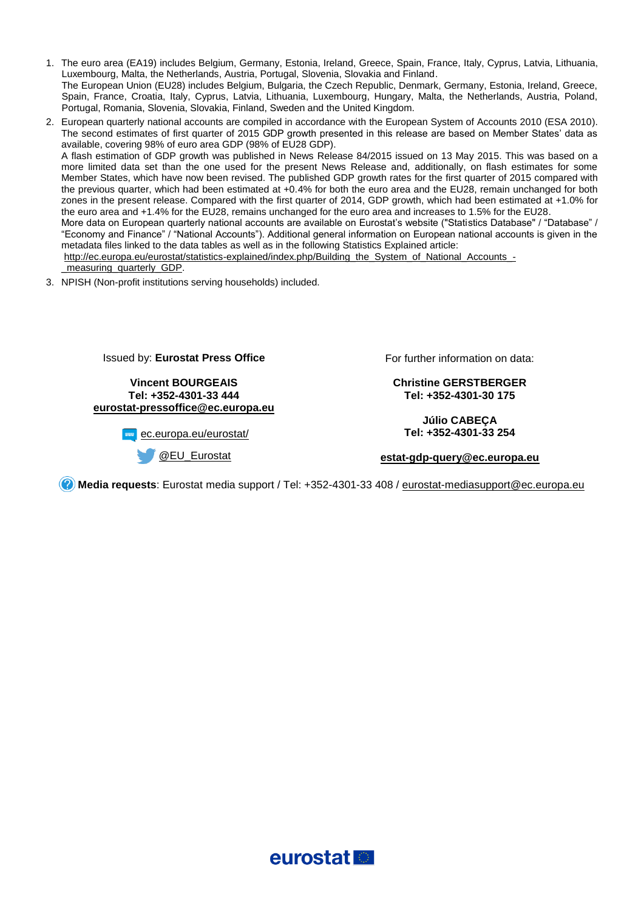- 1. The euro area (EA19) includes Belgium, Germany, Estonia, Ireland, Greece, Spain, France, Italy, Cyprus, Latvia, Lithuania, Luxembourg, Malta, the Netherlands, Austria, Portugal, Slovenia, Slovakia and Finland. The European Union (EU28) includes Belgium, Bulgaria, the Czech Republic, Denmark, Germany, Estonia, Ireland, Greece, Spain, France, Croatia, Italy, Cyprus, Latvia, Lithuania, Luxembourg, Hungary, Malta, the Netherlands, Austria, Poland, Portugal, Romania, Slovenia, Slovakia, Finland, Sweden and the United Kingdom.
- 2. European quarterly national accounts are compiled in accordance with the European System of Accounts 2010 (ESA 2010). The second estimates of first quarter of 2015 GDP growth presented in this release are based on Member States' data as available, covering 98% of euro area GDP (98% of EU28 GDP). A flash estimation of GDP growth was published in News Release 84/2015 issued on 13 May 2015. This was based on a more limited data set than the one used for the present News Release and, additionally, on flash estimates for some Member States, which have now been revised. The published GDP growth rates for the first quarter of 2015 compared with the previous quarter, which had been estimated at +0.4% for both the euro area and the EU28, remain unchanged for both zones in the present release. Compared with the first quarter of 2014, GDP growth, which had been estimated at +1.0% for the euro area and +1.4% for the EU28, remains unchanged for the euro area and increases to 1.5% for the EU28. More data on European quarterly national accounts are available on Eurostat's website ("Statistics Database" / "Database" / "Economy and Finance" / "National Accounts"). Additional general information on European national accounts is given in the metadata files linked to the data tables as well as in the following Statistics Explained article: [http://ec.europa.eu/eurostat/statistics-explained/index.php/Building\\_the\\_System\\_of\\_National\\_Accounts\\_](http://ec.europa.eu/eurostat/statistics-explained/index.php/Building_the_System_of_National_Accounts_-_measuring_quarterly_GDP) measuring quarterly GDP.
- 3. NPISH (Non-profit institutions serving households) included.

Issued by: **Eurostat Press Office**

**Vincent BOURGEAIS Tel: +352-4301-33 444 [eurostat-pressoffice@ec.europa.eu](mailto:eurostat-pressoffice@ec.europa.eu)**

**www**[ec.europa.eu/eurostat/](http://ec.europa.eu/eurostat/)

[@EU\\_Eurostat](http://twitter.com/EU_Eurostat)

For further information on data:

**Christine GERSTBERGER Tel: +352-4301-30 175**

**Júlio CABEÇA Tel: +352-4301-33 254**

**[estat-gdp-query@ec.europa.eu](mailto:estat-gdp-query@ec.europa.eu)**

**Media requests**: Eurostat media support / Tel: +352-4301-33 408 / [eurostat-mediasupport@ec.europa.eu](mailto:eurostat-mediasupport@ec.europa.eu) 

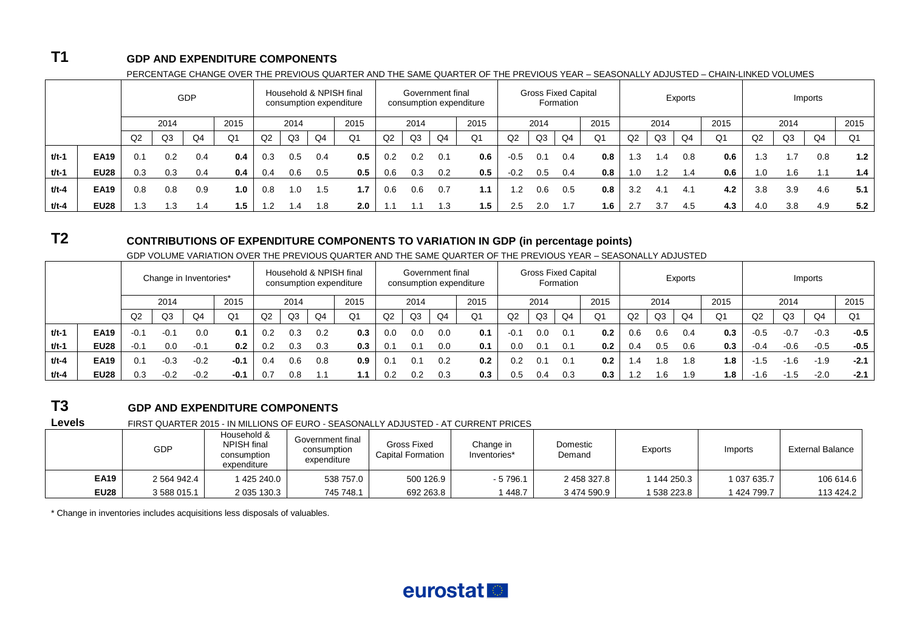### **T1 GDP AND EXPENDITURE COMPONENTS**

| PERCENTAGE CHANGE OVER THE PREVIOUS QUARTER AND THE SAME QUARTER OF THE PREVIOUS YEAR – SEASONALLY ADJUSTED – CHAIN-LINKED VOLUMES |  |  |
|------------------------------------------------------------------------------------------------------------------------------------|--|--|
|                                                                                                                                    |  |  |

|         |             |     |                | GDP                                     |      |     |                |                | Household & NPISH final<br>consumption expenditure |     | Government final |                   | consumption expenditure |        | <b>Gross Fixed Capital</b><br>Formation |                           |                |     | Exports |                          |                |     |                |     |      |
|---------|-------------|-----|----------------|-----------------------------------------|------|-----|----------------|----------------|----------------------------------------------------|-----|------------------|-------------------|-------------------------|--------|-----------------------------------------|---------------------------|----------------|-----|---------|--------------------------|----------------|-----|----------------|-----|------|
|         |             |     | 2014           |                                         | 2015 |     | 2015<br>2014   |                |                                                    |     | 2014             |                   | 2015                    | 2014   |                                         |                           | 2015           |     | 2014    |                          | 2015           |     | 2014           |     | 2015 |
|         |             | Q2  | Q <sub>3</sub> | Q4                                      | Q1   | Q2  | Q <sub>3</sub> | Q <sub>4</sub> | Q <sub>1</sub>                                     | Q2  | Q <sub>3</sub>   | Q <sub>4</sub>    | Q <sub>1</sub>          | Q2     | Q3                                      | Q4                        | Q <sub>1</sub> | Q2  | Q3      | Q4                       | Q <sub>1</sub> | Q2  | Q <sub>3</sub> | Q4  | Q1   |
| $t/t-1$ | <b>EA19</b> | 0.1 | 0.2            | 0.4                                     | 0.4  | 0.3 | 0.5            | 0.4            | 0.5                                                | 0.2 | 0.2              | 0.1               | 0.6                     | $-0.5$ | 0.1                                     | 0.4                       | 0.8            | 1.3 | 1.4     | 0.8                      | 0.6            | 1.3 | 1.7            | 0.8 | 1.2  |
| t/t-1   | <b>EU28</b> | 0.3 | 0.3            | 0.4                                     | 0.4  | 0.4 | 0.6            | 0.5            | 0.5                                                | 0.6 | 0.3              | 0.2               | 0.5                     | $-0.2$ | 0.5                                     | 0.4                       | 0.8            | 1.0 | 1.2     | 1.4                      | 0.6            | 1.0 | 1.6            | 1.1 | 1.4  |
| t/t-4   | <b>EA19</b> | 0.8 | 0.8            | 0.9                                     | 1.0  | 0.8 | . ٥.           | 1.5            | 1.7                                                | 0.6 | 0.6              | 0.7               | 1.1                     | 1.2    | 0.6                                     | 0.5                       | 0.8            | 3.2 | 4.1     | 4.1                      | 4.2            | 3.8 | 3.9            | 4.6 | 5.1  |
| t/t-4   | <b>EU28</b> | 1.3 | ' .3           | 2.0<br>1.5<br>1.2<br>8.،<br>1.4<br>. .4 |      |     |                |                |                                                    | 1.3 | 1.5              | 2.5<br>1.6<br>2.0 |                         |        |                                         | 4.5<br>3.7<br>4.3<br>-2.7 |                |     |         | 5.2<br>4.9<br>3.8<br>4.0 |                |     |                |     |      |

## **T2 CONTRIBUTIONS OF EXPENDITURE COMPONENTS TO VARIATION IN GDP (in percentage points)**

GDP VOLUME VARIATION OVER THE PREVIOUS QUARTER AND THE SAME QUARTER OF THE PREVIOUS YEAR – SEASONALLY ADJUSTED

|         |             |              | Change in Inventories* |        | Household & NPISH final<br>consumption expenditure |     |                |     |     | Government final<br>consumption expenditure |                |     |      | <b>Gross Fixed Capital</b><br>Formation |                |     |                |               | Exports        |     |      |        |        |        |        |
|---------|-------------|--------------|------------------------|--------|----------------------------------------------------|-----|----------------|-----|-----|---------------------------------------------|----------------|-----|------|-----------------------------------------|----------------|-----|----------------|---------------|----------------|-----|------|--------|--------|--------|--------|
|         |             | 2015<br>2014 |                        |        |                                                    |     | 2015<br>2014   |     |     | 2014                                        |                |     | 2015 | 2014                                    |                |     | 2015           | 2014          |                |     | 2015 |        | 2014   |        | 2015   |
|         |             | Q2           | Q <sub>3</sub>         | Q4     | Q1                                                 | Q2  | Q <sub>3</sub> | Q4  | Q1  | Q2                                          | Q <sub>3</sub> | Q4  | Q1   | Q2                                      | Q <sub>3</sub> | Q4  | Q <sub>1</sub> | Q2            | Q <sub>3</sub> | Q4  | Q1   | Q2     | Q3     | Q4     | Q1     |
| t/t-1   | <b>EA19</b> | $-0.1$       | $-0.1$                 | 0.0    | 0.1                                                | 0.2 | 0.3            | 0.2 | 0.3 | 0.0                                         | 0.0            | 0.0 | 0.1  | $-0.1$                                  | 0.0            | 0.1 | 0.2            | 0.6           | 0.6            | 0.4 | 0.3  | $-0.5$ | $-0.7$ | $-0.3$ | $-0.5$ |
| t/t-1   | <b>EU28</b> | $-0.1$       | 0.0                    | $-0.1$ | 0.2                                                | 0.2 | 0.3            | 0.3 | 0.3 | 0.1                                         | 0.1            | 0.0 | 0.1  | 0.0                                     | 0.1            | 0.1 | 0.2            | $0.4^{\circ}$ | 0.5            | 0.6 | 0.3  | $-0.4$ | $-0.6$ | $-0.5$ | $-0.5$ |
| $t/t-4$ | <b>EA19</b> | 0.1          | $-0.3$                 | $-0.2$ | $-0.1$                                             | 0.4 | 0.6            | 0.8 | 0.9 | 0.1                                         | 0.1            | 0.2 | 0.2  | 0.2                                     | 0.1            | 0.1 | 0.2            |               | .8             | 8.، | l.8  | -1.5   | $-1.6$ | $-1.9$ | $-2.1$ |
| $t/t-4$ | <b>EU28</b> | 0.3          | $-0.2$                 | $-0.2$ | -0.1                                               | 0.7 | 0.8            |     | 1.1 | 0.2                                         | 0.2            | 0.3 | 0.3  | 0.5                                     | 0.4            | 0.3 | 0.3            |               | .6             | 1.9 | l.8  | $-1.6$ | $-1.5$ | $-2.0$ | $-2.1$ |

## **T3 GDP AND EXPENDITURE COMPONENTS**

**Levels** FIRST QUARTER 2015 - IN MILLIONS OF EURO - SEASONALLY ADJUSTED - AT CURRENT PRICES

|             | GDP         | Household &<br><b>NPISH</b> final<br>consumption<br>expenditure | Government final<br>consumption<br>expenditure | Gross Fixed<br>Capital Formation | Change in<br>Inventories* | Domestic<br>Demand | Exports     | Imports     | <b>External Balance</b> |
|-------------|-------------|-----------------------------------------------------------------|------------------------------------------------|----------------------------------|---------------------------|--------------------|-------------|-------------|-------------------------|
| <b>EA19</b> | 2 564 942.4 | 425 240.0                                                       | 538 757.0                                      | 500 126.9                        | $-5796.1$                 | 2 458 327.8        | l 144 250.3 | 1 037 635.7 | 106 614.6               |
| <b>EU28</b> | 3 588 015.1 | 2 035 130.3                                                     | 745 748.1                                      | 692 263.8                        | 448.7                     | 3 474 590.9        | 538 223.8   | 424 799.7   | 113 424.2               |

\* Change in inventories includes acquisitions less disposals of valuables.